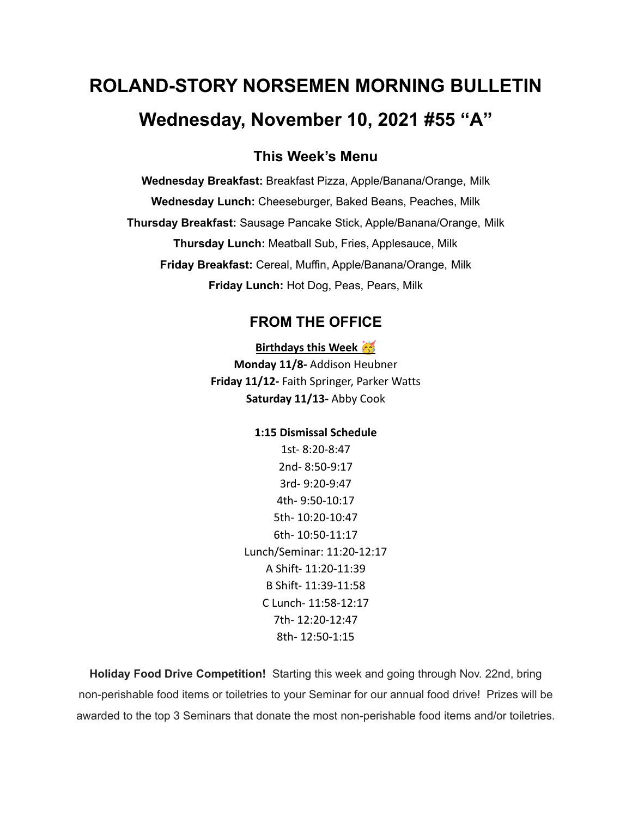# **ROLAND-STORY NORSEMEN MORNING BULLETIN Wednesday, November 10, 2021 #55 "A"**

# **This Week's Menu**

**Wednesday Breakfast:** Breakfast Pizza, Apple/Banana/Orange, Milk **Wednesday Lunch:** Cheeseburger, Baked Beans, Peaches, Milk **Thursday Breakfast:** Sausage Pancake Stick, Apple/Banana/Orange, Milk **Thursday Lunch:** Meatball Sub, Fries, Applesauce, Milk **Friday Breakfast:** Cereal, Muffin, Apple/Banana/Orange, Milk **Friday Lunch:** Hot Dog, Peas, Pears, Milk

## **FROM THE OFFICE**

#### **Birthdays this Week**

**Monday 11/8-** Addison Heubner **Friday 11/12-** Faith Springer, Parker Watts **Saturday 11/13-** Abby Cook

#### **1:15 Dismissal Schedule**

1st- 8:20-8:47 2nd- 8:50-9:17 3rd- 9:20-9:47 4th- 9:50-10:17 5th- 10:20-10:47 6th- 10:50-11:17 Lunch/Seminar: 11:20-12:17 A Shift- 11:20-11:39 B Shift- 11:39-11:58 C Lunch- 11:58-12:17 7th- 12:20-12:47 8th- 12:50-1:15

**Holiday Food Drive Competition!** Starting this week and going through Nov. 22nd, bring non-perishable food items or toiletries to your Seminar for our annual food drive! Prizes will be awarded to the top 3 Seminars that donate the most non-perishable food items and/or toiletries.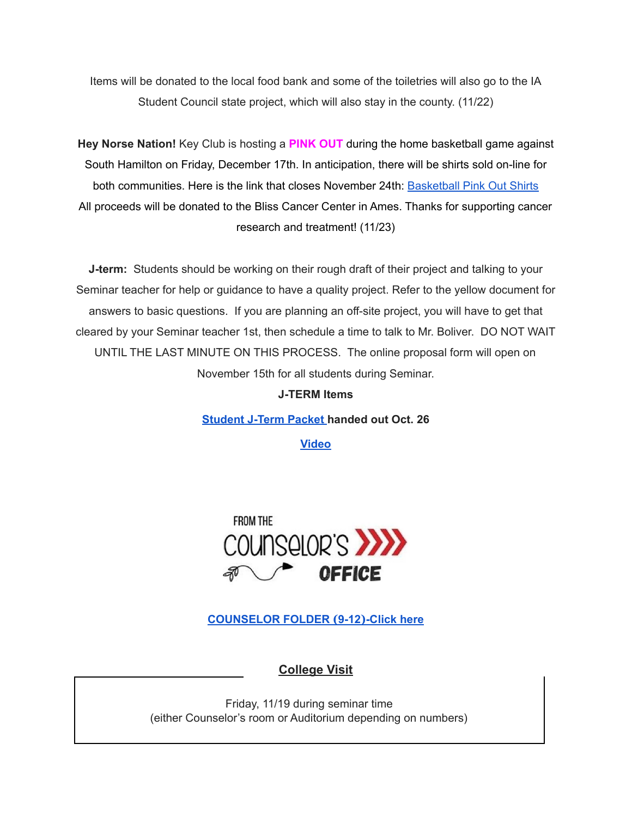Items will be donated to the local food bank and some of the toiletries will also go to the IA Student Council state project, which will also stay in the county. (11/22)

**Hey Norse Nation!** Key Club is hosting a **PINK OUT** during the home basketball game against South Hamilton on Friday, December 17th. In anticipation, there will be shirts sold on-line for both communities. Here is the link that closes November 24th: [Basketball](https://rsshcvc21.itemorder.com/shop/sale/?saleCode=VJQ3K) Pink Out Shirts All proceeds will be donated to the Bliss Cancer Center in Ames. Thanks for supporting cancer research and treatment! (11/23)

**J-term:** Students should be working on their rough draft of their project and talking to your Seminar teacher for help or guidance to have a quality project. Refer to the yellow document for answers to basic questions. If you are planning an off-site project, you will have to get that cleared by your Seminar teacher 1st, then schedule a time to talk to Mr. Boliver. DO NOT WAIT UNTIL THE LAST MINUTE ON THIS PROCESS. The online proposal form will open on November 15th for all students during Seminar.

#### **J-TERM Items**

**[Student](https://drive.google.com/file/d/1h6QugcDvlDevR3f9EywbUQrqVqyCPD5n/view?usp=sharing) J-Term Packet handed out Oct. 26**

**[Video](https://drive.google.com/file/d/1-IjAQRz891m66mXs_V_s9qC8_1HN0Jw_/view?usp=sharing)**



**[COUNSELOR](https://docs.google.com/document/d/1vmwczNPbDzXe9vFaG5LJMQ7NYDv-i4oQJHybqA65TUc/edit?usp=sharing) FOLDER (9-12)-Click here**

**College Visit**

Friday, 11/19 during seminar time (either Counselor's room or Auditorium depending on numbers)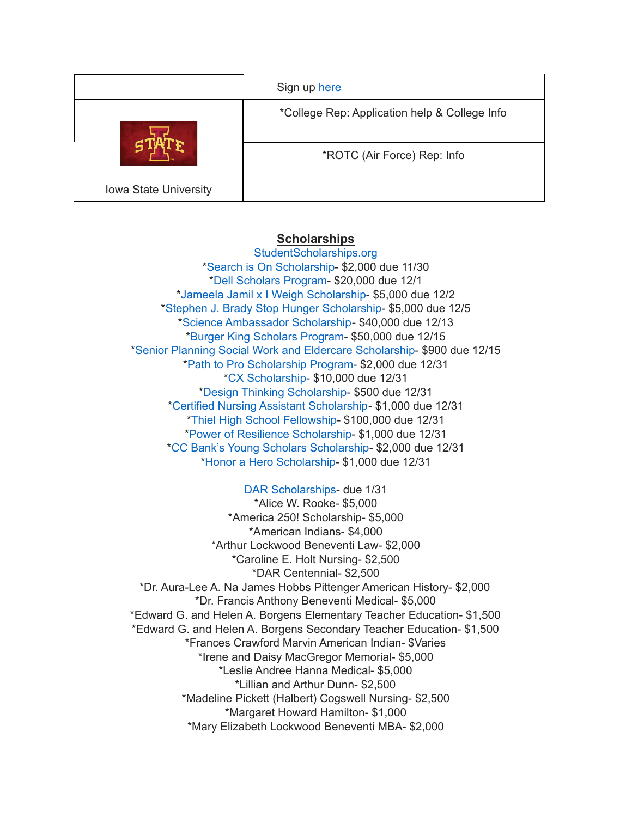|                       | Sign up here                                  |
|-----------------------|-----------------------------------------------|
|                       | *College Rep: Application help & College Info |
|                       | *ROTC (Air Force) Rep: Info                   |
| Iowa State University |                                               |

## **Scholarships**

[StudentScholarships.org](https://drive.google.com/file/d/1vNlRtrk0wQiX1jPIPjpUVHhi5zFlcRvw/view?usp=sharing) \*Search is On [Scholarship](https://studentscholarships.org/scholarship/19120/search_is_on_scholarship_scholarship.php)- \$2,000 due 11/30 \*Dell [Scholars](https://studentscholarships.org/scholarship/9745/dell_scholars_program_scholarship.php) Program- \$20,000 due 12/1 \*Jameela Jamil x I Weigh [Scholarship-](https://studentscholarships.org/scholarship/19302/jameela_jamil_x_i_weigh_scholarship_scholarship.php) \$5,000 due 12/2 \*Stephen J. Brady Stop Hunger [Scholarship-](https://studentscholarships.org/scholarship/8850/stephen_j_brady_stop_hunger_scholarships_scholarship.php) \$5,000 due 12/5 \*Science [Ambassador](https://studentscholarships.org/scholarship/14669/science_ambassador_scholarship_scholarship.php) Scholarship- \$40,000 due 12/13 \*Burger King [Scholars](https://studentscholarships.org/scholarship/10533/burger_king_scholars_program_scholarship.php) Program- \$50,000 due 12/15 \*Senior Planning Social Work and Eldercare [Scholarship](https://studentscholarships.org/scholarship/11393/senior_planning_social_scholarship.php)- \$900 due 12/15 \*Path to Pro [Scholarship](https://studentscholarships.org/scholarship/19069/path_to_pro_scholarship_program_scholarship.php) Program- \$2,000 due 12/31 \*CX [Scholarship-](https://studentscholarships.org/scholarship/19320/cx_scholarship_scholarship.php) \$10,000 due 12/31 \*Design Thinking [Scholarship](https://studentscholarships.org/scholarship/11010/design_thinking_scholarship_scholarship.php)- \$500 due 12/31 \*Certified Nursing Assistant [Scholarship-](https://studentscholarships.org/scholarship/19122/certified_nursing_assistant_scholarship_scholarship.php) \$1,000 due 12/31 \*Thiel High School [Fellowship](https://studentscholarships.org/scholarship/14065/thiel_fellowship_scholarship.php)- \$100,000 due 12/31 \*Power of Resilience [Scholarship-](https://studentscholarships.org/scholarship/14792/power_of_resilience_scholarship_scholarship.php) \$1,000 due 12/31 \*CC Bank's Young Scholars [Scholarship-](https://studentscholarships.org/scholarship/13729/cc_bank_s_young_scholars_scholarship_scholarship.php) \$2,000 due 12/31 \*Honor a Hero [Scholarship](https://studentscholarships.org/scholarship/19015/honor_a_hero_scholarship_scholarship.php)- \$1,000 due 12/31

## DAR [Scholarships-](https://dar.academicworks.com/) due 1/31

\*Alice W. Rooke- \$5,000 \*America 250! Scholarship- \$5,000 \*American Indians- \$4,000 \*Arthur Lockwood Beneventi Law- \$2,000 \*Caroline E. Holt Nursing- \$2,500 \*DAR Centennial- \$2,500 \*Dr. Aura-Lee A. Na James Hobbs Pittenger American History- \$2,000 \*Dr. Francis Anthony Beneventi Medical- \$5,000 \*Edward G. and Helen A. Borgens Elementary Teacher Education- \$1,500 \*Edward G. and Helen A. Borgens Secondary Teacher Education- \$1,500 \*Frances Crawford Marvin American Indian- \$Varies \*Irene and Daisy MacGregor Memorial- \$5,000 \*Leslie Andree Hanna Medical- \$5,000 \*Lillian and Arthur Dunn- \$2,500 \*Madeline Pickett (Halbert) Cogswell Nursing- \$2,500 \*Margaret Howard Hamilton- \$1,000 \*Mary Elizabeth Lockwood Beneventi MBA- \$2,000